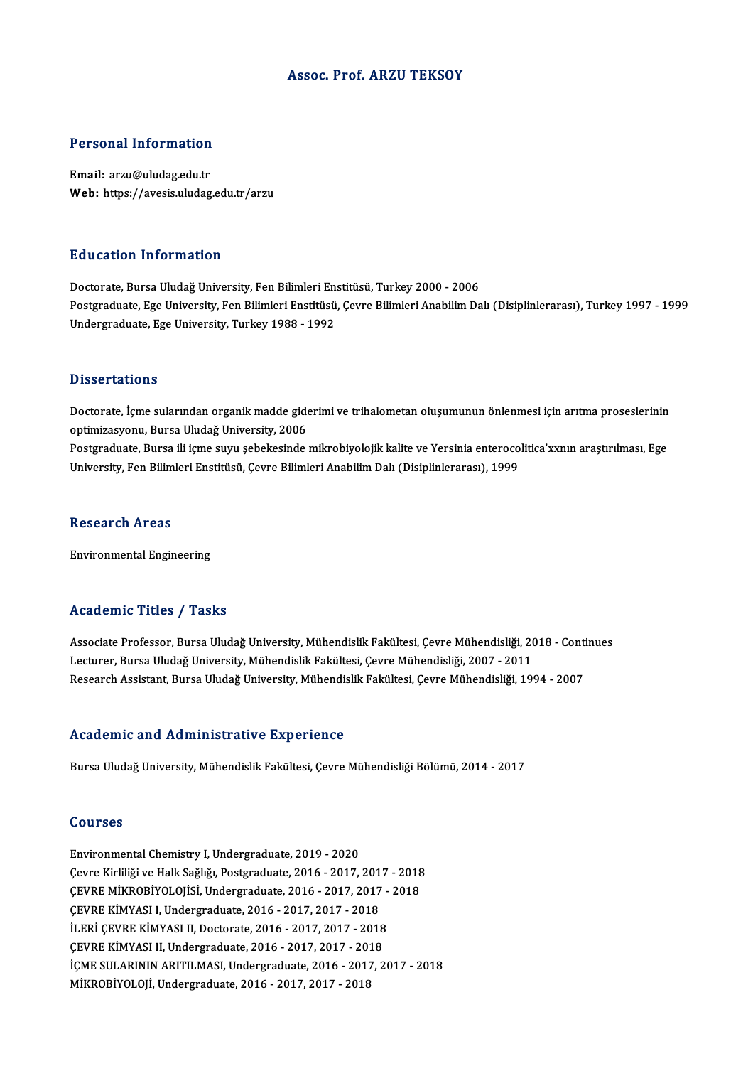#### Assoc. Prof. ARZU TEKSOY

# Personal Information

Personal Information<br>Email: arzu@uludag.edu.tr<br>Web: https://avasis.uludag Email: arzu@uludag.edu.tr<br>Web: https://avesis.uludag.edu.tr/arzu

#### Education Information

Doctorate, Bursa Uludağ University, Fen Bilimleri Enstitüsü, Turkey 2000 - 2006 Postgraduate, Ege University, Fen Bilimleri Enstitüsü, Çevre Bilimleri Anabilim Dalı (Disiplinlerarası), Turkey 1997 - 1999 Undergraduate, Ege University, Turkey 1988 - 1992

#### **Dissertations**

Doctorate, İçme sularından organik madde giderimi ve trihalometan oluşumunun önlenmesi için arıtma proseslerinin optimizasyonu, Bursa Uludağ University, 2006 Doctorate, İçme sularından organik madde giderimi ve trihalometan oluşumunun önlenmesi için arıtma proseslerinin<br>optimizasyonu, Bursa Uludağ University, 2006<br>Postgraduate, Bursa ili içme suyu şebekesinde mikrobiyolojik kal optimizasyonu, Bursa Uludağ University, 2006<br>Postgraduate, Bursa ili içme suyu şebekesinde mikrobiyolojik kalite ve Yersinia enteroco<br>University, Fen Bilimleri Enstitüsü, Çevre Bilimleri Anabilim Dalı (Disiplinlerarası), 1 University, Fen Bilimleri Enstitüsü, Çevre Bilimleri Anabilim Dalı (Disiplinlerarası), 1999<br>Research Areas

Environmental Engineering

#### Academic Titles / Tasks

Academic Titles / Tasks<br>Associate Professor, Bursa Uludağ University, Mühendislik Fakültesi, Çevre Mühendisliği, 2018 - Continues<br>Lesturer, Bursa Uludağ University, Mühendislik Fakültesi, Çevre Mühendisliği, 2007, 2011 Lecturer, Lectur / Lucturer<br>Associate Professor, Bursa Uludağ University, Mühendislik Fakültesi, Çevre Mühendisliği, 20<br>Lecturer, Bursa Uludağ University, Mühendislik Fakültesi, Çevre Mühendisliği, 2007 - 2011<br>Researsh Ass Associate Professor, Bursa Uludağ University, Mühendislik Fakültesi, Çevre Mühendisliği, 2018 - Conti<br>Lecturer, Bursa Uludağ University, Mühendislik Fakültesi, Çevre Mühendisliği, 2007 - 2011<br>Research Assistant, Bursa Ulud Research Assistant, Bursa Uludağ University, Mühendislik Fakültesi, Çevre Mühendisliği, 1994 - 2007<br>Academic and Administrative Experience

Bursa Uludağ University, Mühendislik Fakültesi, Çevre Mühendisliği Bölümü, 2014 - 2017

#### Courses

Environmental Chemistry I, Undergraduate, 2019 - 2020 SSATESS<br>Environmental Chemistry I, Undergraduate, 2019 - 2020<br>Çevre Kirliliği ve Halk Sağlığı, Postgraduate, 2016 - 2017, 2017 - 2018<br>CEVPE MİKRORİYOLOUSL Undergraduate, 2016 - 2017, 2017 - 2019 Environmental Chemistry I, Undergraduate, 2019 - 2020<br>Çevre Kirliliği ve Halk Sağlığı, Postgraduate, 2016 - 2017, 2017 - 2018<br>ÇEVRE MİKROBİYOLOJİSİ, Undergraduate, 2016 - 2017, 2017 - 2018<br>ÇEVRE VİMYASI I, Undergraduate, 2 Çevre Kirliliği ve Halk Sağlığı, Postgraduate, 2016 - 2017, 2017<br>ÇEVRE MİKROBİYOLOJİSİ, Undergraduate, 2016 - 2017, 2017<br>ÇEVRE KİMYASI I, Undergraduate, 2016 - 2017, 2017 - 2018<br>İLERİ ÇEVRE KİMYASI II, Dostarate, 2016 - 20 ÇEVRE MİKROBİYOLOJİSİ, Undergraduate, 2016 - 2017, 2017 - 2018<br>ÇEVRE KİMYASI I, Undergraduate, 2016 - 2017, 2017 - 2018<br>İLERİ ÇEVRE KİMYASI II, Doctorate, 2016 - 2017, 2017 - 2018 ÇEVRE KİMYASI I, Undergraduate, 2016 - 2017, 2017 - 2018<br>İLERİ ÇEVRE KİMYASI II, Doctorate, 2016 - 2017, 2017 - 2018<br>ÇEVRE KİMYASI II, Undergraduate, 2016 - 2017, 2017 - 2018<br>İCME SULABININ ABITILMASI, Undergraduate, 2016 İÇME SULARININ ARITILMASI, Undergraduate, 2016 - 2017, 2017 - 2018<br>MİKROBİYOLOJİ, Undergraduate, 2016 - 2017, 2017 - 2018 ÇEVRE KİMYASI II, Undergraduate, 2016 - 2017, 2017 - 201<br>İÇME SULARININ ARITILMASI, Undergraduate, 2016 - 2017<br>MİKROBİYOLOJİ, Undergraduate, 2016 - 2017, 2017 - 2018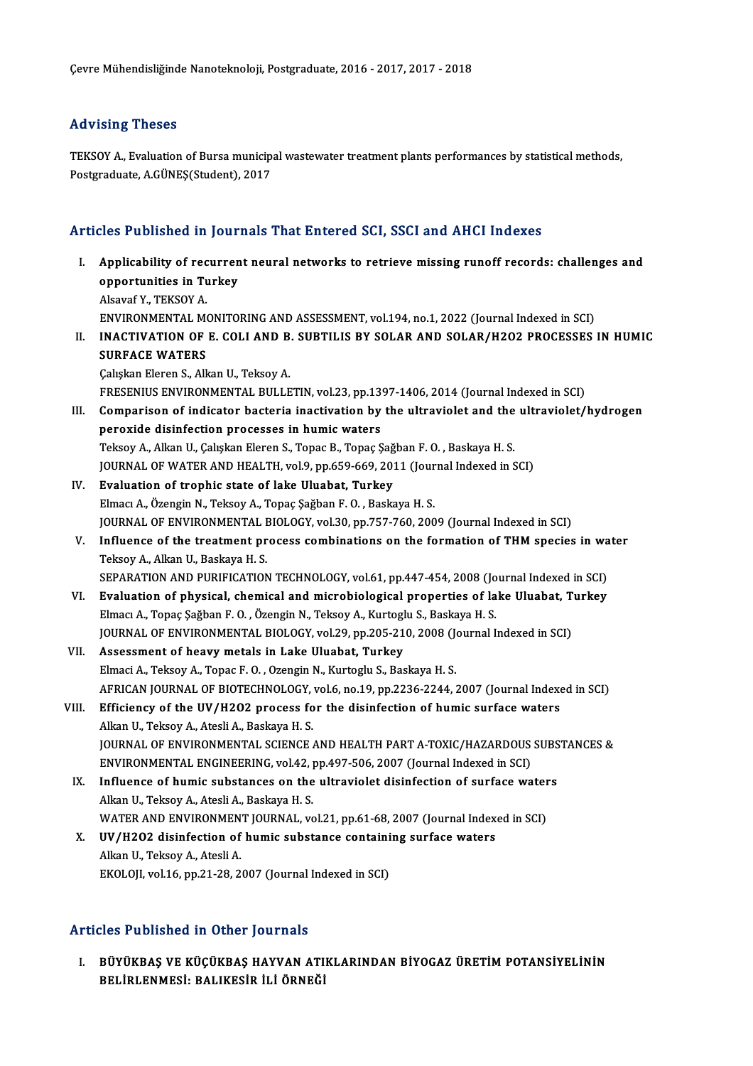### Advising Theses

Advising Theses<br>TEKSOY A., Evaluation of Bursa municipal wastewater treatment plants performances by statistical methods,<br>Pestsyaduate A CÜNES(Student), 2017 rra vising i nosos<br>TEKSOY A., Evaluation of Bursa municip:<br>Postgraduate, A.GÜNEŞ(Student), 2017

# Postgraduate, A.GÜNEŞ(Student), 2017<br>Articles Published in Journals That Entered SCI, SSCI and AHCI Indexes

- rticles Published in Journals That Entered SCI, SSCI and AHCI Indexes<br>I. Applicability of recurrent neural networks to retrieve missing runoff records: challenges and<br>Applicability of recurrent neural networks to retrieve Applicability of recurrence<br>opportunities in Turkey<br>Alexyn<sup>6</sup> V, TEVSOV A Applicability of rec<br>opportunities in Tu<br>Alsavaf Y., TEKSOY A.<br>ENVIRONMENTAL M opportunities in Turkey<br>Alsavaf Y., TEKSOY A.<br>ENVIRONMENTAL MONITORING AND ASSESSMENT, vol.194, no.1, 2022 (Journal Indexed in SCI)<br>INACTIVATION OF E. COLLAND B. SUBTU IS BY SOLAR AND SOLAR/H2O2 BROCESSES Alsavaf Y., TEKSOY A.<br>ENVIRONMENTAL MONITORING AND ASSESSMENT, vol.194, no.1, 2022 (Journal Indexed in SCI)<br>II. INACTIVATION OF E. COLI AND B. SUBTILIS BY SOLAR AND SOLAR/H2O2 PROCESSES IN HUMIC<br>SUPEACE WATERS ENVIRONMENTAL MONTENT<br><mark>INACTIVATION OF</mark><br>SURFACE WATERS **INACTIVATION OF E. COLI AND B<br>SURFACE WATERS<br>Çalışkan Eleren S., Alkan U., Teksoy A.<br>ERESENIUS ENVIRONMENTAL BULLE** SURFACE WATERS<br>Çalışkan Eleren S., Alkan U., Teksoy A.<br>FRESENIUS ENVIRONMENTAL BULLETIN, vol.23, pp.1397-1406, 2014 (Journal Indexed in SCI)<br>Comparison of indicator bactoria inactivation by the ultravialet and the ultravia Calışkan Eleren S., Alkan U., Teksoy A.<br>FRESENIUS ENVIRONMENTAL BULLETIN, vol.23, pp.1397-1406, 2014 (Journal Indexed in SCI)<br>III. Comparison of indicator bacteria inactivation by the ultraviolet and the ultraviolet/hydrog FRESENIUS ENVIRONMENTAL BULLETIN, vol.23, pp.13<br>Comparison of indicator bacteria inactivation by<br>peroxide disinfection processes in humic waters<br>Telsey A. Allian II. Calistan Flaren S. Tenas B. Tenas S Comparison of indicator bacteria inactivation by the ultraviolet and the<br>peroxide disinfection processes in humic waters<br>Teksoy A., Alkan U., Çalışkan Eleren S., Topac B., Topaç Şağban F. O. , Baskaya H. S.<br>JOUPMAL OF WATE peroxide disinfection processes in humic waters<br>Teksoy A., Alkan U., Çalışkan Eleren S., Topac B., Topaç Şağban F. O. , Baskaya H. S.<br>JOURNAL OF WATER AND HEALTH, vol.9, pp.659-669, 2011 (Journal Indexed in SCI)<br>Evaluation Teksoy A., Alkan U., Çalışkan Eleren S., Topac B., Topaç Şağban F. O. , Baskaya H. S.<br>JOURNAL OF WATER AND HEALTH, vol.9, pp.659-669, 2011 (Journal Indexed in S<br>IV. Evaluation of trophic state of lake Uluabat, Turkey<br>Elmac JOURNAL OF WATER AND HEALTH, vol.9, pp.659-669, 2011 (Journ Evaluation of trophic state of lake Uluabat, Turkey<br>Elmacı A., Özengin N., Teksoy A., Topaç Şağban F. O. , Baskaya H. S.<br>JOURNAL OF ENVIRONMENTAL PIOLOCY vol.30, JOURNAL OF ENVIRONMENTAL BIOLOGY, vol.30, pp.757-760, 2009 (Journal Indexed in SCI) Elmacı A., Özengin N., Teksoy A., Topaç Şağban F. O. , Baskaya H. S.<br>JOURNAL OF ENVIRONMENTAL BIOLOGY, vol.30, pp.757-760, 2009 (Journal Indexed in SCI)<br>V. Influence of the treatment process combinations on the formation o **JOURNAL OF ENVIRONMENTAL I**<br>**Influence of the treatment pr<br>Teksoy A., Alkan U., Baskaya H. S.<br>SERARATION AND BURIEICATION** Influence of the treatment process combinations on the formation of THM species in wa<br>Teksoy A., Alkan U., Baskaya H. S.<br>SEPARATION AND PURIFICATION TECHNOLOGY, vol.61, pp.447-454, 2008 (Journal Indexed in SCI)<br>Evaluation Teksoy A., Alkan U., Baskaya H. S.<br>SEPARATION AND PURIFICATION TECHNOLOGY, vol.61, pp.447-454, 2008 (Journal Indexed in SCI)<br>VI. Evaluation of physical, chemical and microbiological properties of lake Uluabat, Turkey Elmacı A., Topaç Şağban F. O., Özengin N., Teksoy A., Kurtoglu S., Baskaya H. S. JOURNAL OF ENVIRONMENTAL BIOLOGY, vol.29, pp.205-210, 2008 (Journal Indexed in SCI) VII. Assessment of heavy metals in Lake Uluabat, Turkey Elmaci A., Teksoy A., Topac F. O., Ozengin N., Kurtoglu S., Baskaya H. S. AFRICAN JOURNAL OF BIOTECHNOLOGY, vol.6, no.19, pp.2236-2244, 2007 (Journal Indexed in SCI) Elmaci A., Teksoy A., Topac F. O., Ozengin N., Kurtoglu S., Baskaya H. S.<br>AFRICAN JOURNAL OF BIOTECHNOLOGY, vol.6, no.19, pp.2236-2244, 2007 (Journal Indexe<br>VIII. Efficiency of the UV/H2O2 process for the disinfection of h AFRICAN JOURNAL OF BIOTECHNOLOGY,<br>Efficiency of the UV/H2O2 process fo<br>Alkan U., Teksoy A., Atesli A., Baskaya H. S.<br>JOUPNAL OF ENVUPONMENTAL SCIENCE Efficiency of the UV/H2O2 process for the disinfection of humic surface waters<br>Alkan U., Teksoy A., Atesli A., Baskaya H. S.<br>JOURNAL OF ENVIRONMENTAL SCIENCE AND HEALTH PART A-TOXIC/HAZARDOUS SUBSTANCES &<br>ENVIRONMENTAL ENC Alkan U., Teksoy A., Atesli A., Baskaya H. S.<br>JOURNAL OF ENVIRONMENTAL SCIENCE AND HEALTH PART A-TOXIC/HAZARDOUS<br>ENVIRONMENTAL ENGINEERING, vol.42, pp.497-506, 2007 (Journal Indexed in SCI)<br>Influence of bumic substances on JOURNAL OF ENVIRONMENTAL SCIENCE AND HEALTH PART A-TOXIC/HAZARDOUS SUBS<br>ENVIRONMENTAL ENGINEERING, vol.42, pp.497-506, 2007 (Journal Indexed in SCI)<br>IX. Influence of humic substances on the ultraviolet disinfection of surf ENVIRONMENTAL ENGINEERING, vol.42, J<br>Influence of humic substances on the<br>Alkan U., Teksoy A., Atesli A., Baskaya H. S.<br>WATER AND ENVIRONMENT JOURNAL JY Influence of humic substances on the ultraviolet disinfection of surface water<br>Alkan U., Teksoy A., Atesli A., Baskaya H. S.<br>WATER AND ENVIRONMENT JOURNAL, vol.21, pp.61-68, 2007 (Journal Indexed in SCI)<br>IIV (11202 disinfe Alkan U., Teksoy A., Atesli A., Baskaya H. S.<br>WATER AND ENVIRONMENT JOURNAL, vol.21, pp.61-68, 2007 (Journal Index<br>X. UV/H2O2 disinfection of humic substance containing surface waters
	- WATER AND ENVIRONMEN<br>UV/H2O2 disinfection of<br>Alkan U., Teksoy A., Atesli A. X. UV/H2O2 disinfection of humic substance containing surface waters<br>Alkan U., Teksoy A., Atesli A.<br>EKOLOJI, vol.16, pp.21-28, 2007 (Journal Indexed in SCI)

#### Articles Published in Other Journals

Tticles Published in Other Journals<br>I. BÜYÜKBAŞ VE KÜÇÜKBAŞ HAYVAN ATIKLARINDAN BİYOGAZ ÜRETİM POTANSİYELİNİN<br>PELİPLENMESİ: PALIKESİR İLİ ÖRNEĞİ ABEL TABABUNUN ATT BELIRLENMESI<br>BÜYÜKBAŞ VE KÜÇÜKBAŞ HAYVAN ATI<br>BELİRLENMESİ: BALIKESİR İLİ ÖRNEĞİ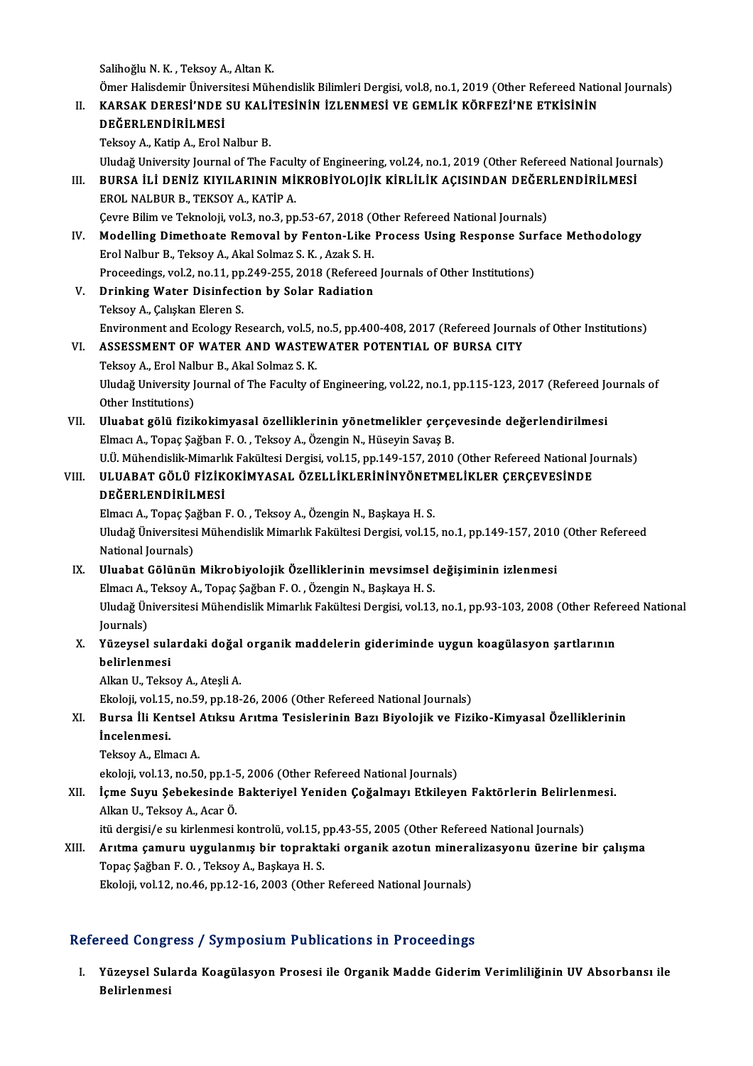Salihoğlu N.K., Teksoy A., Altan K.

Salihoğlu N. K. , Teksoy A., Altan K.<br>Ömer Halisdemir Üniversitesi Mühendislik Bilimleri Dergisi, vol.8, no.1, 2019 (Other Refereed National Journals)<br>KARSAK DERESİ'NDE SILKAL İTESİNİN İZLENMESİ VE GEMLİK KÖREFZİ'NE ETKİSİ Salihoğlu N. K. , Teksoy A., Altan K.<br>Ömer Halisdemir Üniversitesi Mühendislik Bilimleri Dergisi, vol.8, no.1, 2019 (Other Refereed National II.<br>II. KARSAK DERESİ'NDE SU KALİTESİNİN İZLENMESİ VE GEMLİK KÖRFEZİ'NE ETKİSİNİN Ömer Halisdemir Ünivers<br>KARSAK DERESİ'NDE<br>DEĞERLENDİRİLMESİ<br>Teksev A. Katin A. Exal A KARSAK DERESI'NDE SU KALI<br>DEĞERLENDİRİLMESİ<br>Teksoy A., Katip A., Erol Nalbur B.<br>Uludağ University Journal of The L DEĞERLENDİRİLMESİ<br>Teksoy A., Katip A., Erol Nalbur B.<br>Uludağ University Journal of The Faculty of Engineering, vol.24, no.1, 2019 (Other Refereed National Journals) Teksoy A., Katip A., Erol Nalbur B.<br>Uludağ University Journal of The Faculty of Engineering, vol.24, no.1, 2019 (Other Refereed National Jour)<br>III. BURSA İLİ DENİZ KIYILARININ MİKROBİYOLOJİK KİRLİLİK AÇISINDAN DEĞERLENDİRİ Uludağ University Journal of The Facul<br>BURSA İLİ DENİZ KIYILARININ Mİ<br>EROL NALBUR B., TEKSOY A., KATİP A.<br>Caura Bilim va Talmalaji yal 3 no 3 nn BURSA İLİ DENİZ KIYILARININ MİKROBİYOLOJİK KİRLİLİK AÇISINDAN DEĞER<br>EROL NALBUR B., TEKSOY A., KATİP A.<br>Çevre Bilim ve Teknoloji, vol.3, no.3, pp.53-67, 2018 (Other Refereed National Journals)<br>Modelling Dimetheste Bemevel EROL NALBUR B., TEKSOY A., KATİP A.<br>Cevre Bilim ve Teknoloji, vol.3, no.3, pp.53-67, 2018 (Other Refereed National Journals)<br>IV. Modelling Dimethoate Removal by Fenton-Like Process Using Response Surface Methodology<br>Frel N Gevre Bilim ve Teknoloji, vol.3, no.3, pp.53-67, 2018 (C)<br>Modelling Dimethoate Removal by Fenton-Like<br>Erol Nalbur B., Teksoy A., Akal Solmaz S. K. , Azak S. H.<br>Preseedings vol.2, no.11, np.249, 255, 2019 (Refereed Modelling Dimethoate Removal by Fenton-Like Process Using Response Sur<br>Erol Nalbur B., Teksoy A., Akal Solmaz S. K. , Azak S. H.<br>Proceedings, vol.2, no.11, pp.249-255, 2018 (Refereed Journals of Other Institutions)<br>Prinkin Erol Nalbur B., Teksoy A., Akal Solmaz S. K. , Azak S. H.<br>Proceedings, vol.2, no.11, pp.249-255, 2018 (Refereed Journals of Other Institutions)<br>V. Drinking Water Disinfection by Solar Radiation Teksoy A., Çalışkan Eleren S. Drinking Water Disinfection by Solar Radiation<br>Teksoy A., Çalışkan Eleren S.<br>Environment and Ecology Research, vol.5, no.5, pp.400-408, 2017 (Refereed Journals of Other Institutions)<br>ASSESSMENT OF WATER AND WASTEWATER POTE Teksoy A., Çalışkan Eleren S.<br>Environment and Ecology Research, vol.5, no.5, pp.400-408, 2017 (Refereed Journa<br>VI. ASSESSMENT OF WATER AND WASTEWATER POTENTIAL OF BURSA CITY<br>Teksov A. Enel Nelbur B. Akal Selman S. K. Environment and Ecology Research, vol.5, i<br>ASSESSMENT OF WATER AND WASTE<br>Teksoy A., Erol Nalbur B., Akal Solmaz S. K.<br>Uludeğ University Journal of The Ecoulty of ASSESSMENT OF WATER AND WASTEWATER POTENTIAL OF BURSA CITY<br>Teksoy A., Erol Nalbur B., Akal Solmaz S. K.<br>Uludağ University Journal of The Faculty of Engineering, vol.22, no.1, pp.115-123, 2017 (Refereed Journals of<br>Other In Teksoy A., Erol Nall<br>Uludağ University J<br>Other Institutions)<br>Uluabat Gölü fizil Uludağ University Journal of The Faculty of Engineering, vol.22, no.1, pp.115-123, 2017 (Refereed Journal of The Faculty of Engineering, vol.22, no.1, pp.115-123, 2017 (Refereed Journal of The Theories)<br>VII. Uluabat gölü f Other Institutions)<br>Uluabat gölü fizikokimyasal özelliklerinin yönetmelikler çerçe<br>Elmacı A., Topaç Şağban F. O. , Teksoy A., Özengin N., Hüseyin Savaş B.<br>Hül Mühandislik Mimarlık Fakültesi Dergisi vol 15. nn 149,157, 2010 Uluabat gölü fizikokimyasal özelliklerinin yönetmelikler çerçevesinde değerlendirilmesi<br>Elmacı A., Topaç Şağban F. O. , Teksoy A., Özengin N., Hüseyin Savaş B.<br>U.Ü. Mühendislik-Mimarlık Fakültesi Dergisi, vol.15, pp.149-15 Elmacı A., Topaç Şağban F. O. , Teksoy A., Özengin N., Hüseyin Savaş B.<br>U.Ü. Mühendislik-Mimarlık Fakültesi Dergisi, vol.15, pp.149-157, 2010 (Other Refereed National Jo<br>VIII. ULUABAT GÖLÜ FİZİKOKİMYASAL ÖZELLİKLERİNİN U.Ü. Mühendislik-Mimarlı<br>ULUABAT GÖLÜ FİZİK<br>DEĞERLENDİRİLMESİ<br>Elmacı A. Tanas Sağban l ULUABAT GÖLÜ FİZİKOKİMYASAL ÖZELLİKLERİNİNYÖNET<br>DEĞERLENDİRİLMESİ<br>Elmacı A., Topaç Şağban F. O. , Teksoy A., Özengin N., Başkaya H. S.<br>Uludağ Üniversitesi Mühandislik Mimarlık Fakültesi Dergisi val 15 DEĞERLENDİRİLMESİ<br>Elmacı A., Topaç Şağban F. O. , Teksoy A., Özengin N., Başkaya H. S.<br>Uludağ Üniversitesi Mühendislik Mimarlık Fakültesi Dergisi, vol.15, no.1, pp.149-157, 2010 (Other Refereed<br>National Journals) Elmacı A., Topaç Şağban F. O., Teksoy A., Özengin N., Başkaya H. S. IX. Uluabat Gölünün Mikrobiyolojik Özelliklerinin mevsimsel değişiminin izlenmesi National Journals)<br>Uluabat Gölünün Mikrobiyolojik Özelliklerinin mevsimsel o<br>Elmacı A., Teksoy A., Topaç Şağban F. O. , Özengin N., Başkaya H. S.<br>Uludeğ Üniversitesi Mühandislik Mimarlık Fakültesi Dergisi val 12 Uludağ Üniversitesi Mühendislik Mimarlık Fakültesi Dergisi, vol.13, no.1, pp.93-103, 2008 (Other Refereed National<br>Journals) Elmacı A.,<br>Uludağ Ün<br>Journals)<br>Vünevsel Uludağ Üniversitesi Mühendislik Mimarlık Fakültesi Dergisi, vol.13, no.1, pp.93-103, 2008 (Other Refer Journals)<br>Journals)<br>X. Yüzeysel sulardaki doğal organik maddelerin gideriminde uygun koagülasyon şartlarının<br>halirlarma Journals)<br>Yüzeysel sula<br>belirlenmesi<br>Alkan U. Tekse Yüzeysel sulardaki doğal<br>belirlenmesi<br>Alkan U., Teksoy A., Ateşli A.<br>Ekalaji vel 15, no 59, nn 19. belirlenmesi<br>Alkan U., Teksoy A., Ateşli A.<br>Ekoloji, vol.15, no.59, pp.18-26, 2006 (Other Refereed National Journals)<br>Punse İli Kantael Atıkay Anıtma Tesislaninin Barı Biyalejik ve Eiri Alkan U., Teksoy A., Ateşli A.<br>Ekoloji, vol.15, no.59, pp.18-26, 2006 (Other Refereed National Journals)<br>XI. Bursa İli Kentsel Atıksu Arıtma Tesislerinin Bazı Biyolojik ve Fiziko-Kimyasal Özelliklerinin<br>İnselepmesi Ekoloji, vol.15,<br><mark>Bursa İli Ker</mark><br>İncelenmesi.<br><sup>Tolsov A. Elm</sub></sup> Bursa İli Kentsel<br>İncelenmesi.<br>Teksoy A., Elmacı A.<br>Akalaji vol 12. no 56 İncelenmesi.<br>Teksoy A., Elmacı A.<br>ekoloji, vol.13, no.50, pp.1-5, 2006 (Other Refereed National Journals)<br>İsme Suvu, Sabakasinda Paktariyal Yanidan Coğalmayı, Etkileye Teksoy A., Elmacı A.<br>ekoloji, vol.13, no.50, pp.1-5, 2006 (Other Refereed National Journals)<br>XII. İçme Suyu Şebekesinde Bakteriyel Yeniden Çoğalmayı Etkileyen Faktörlerin Belirlenmesi.<br>Alkan II. Teksov A. Asar Ö ekoloji, vol.13, no.50, pp.1-5<br>**İçme Suyu Şebekesinde**<br>Alkan U., Teksoy A., Acar Ö.<br><sup>İtü</sup> dergisi (e.su kirlenmesi ) İçme Suyu Şebekesinde Bakteriyel Yeniden Çoğalmayı Etkileyen Faktörlerin Belirlen<br>Alkan U., Teksoy A., Acar Ö.<br>itü dergisi/e su kirlenmesi kontrolü, vol.15, pp.43-55, 2005 (Other Refereed National Journals)<br>Arıtma samuru u Alkan U., Teksoy A., Acar Ö.<br>itü dergisi/e su kirlenmesi kontrolü, vol.15, pp.43-55, 2005 (Other Refereed National Journals)<br>XIII. Arıtma çamuru uygulanmış bir topraktaki organik azotun mineralizasyonu üzerine bir çalı itü dergisi/e su kirlenmesi kontrolü, vol.15, pp.43-55, 2005 (Other Refereed National Journals)<br>Arıtma çamuru uygulanmış bir topraktaki organik azotun mineralizasyonu üzerine l<br>Topaç Şağban F. O. , Teksoy A., Başkaya H. S. Arıtma çamuru uygulanmış bir topraktaki organik azotun minera<br>Topaç Şağban F. O. , Teksoy A., Başkaya H. S.<br>Ekoloji, vol.12, no.46, pp.12-16, 2003 (Other Refereed National Journals)

### Refereed Congress / Symposium Publications in Proceedings

efereed Congress / Symposium Publications in Proceedings<br>I. Yüzeysel Sularda Koagülasyon Prosesi ile Organik Madde Giderim Verimliliğinin UV Absorbansı ile<br>Ralinlarmesi reed dong:<br>Yüzeysel Sul<br>Belirlenmesi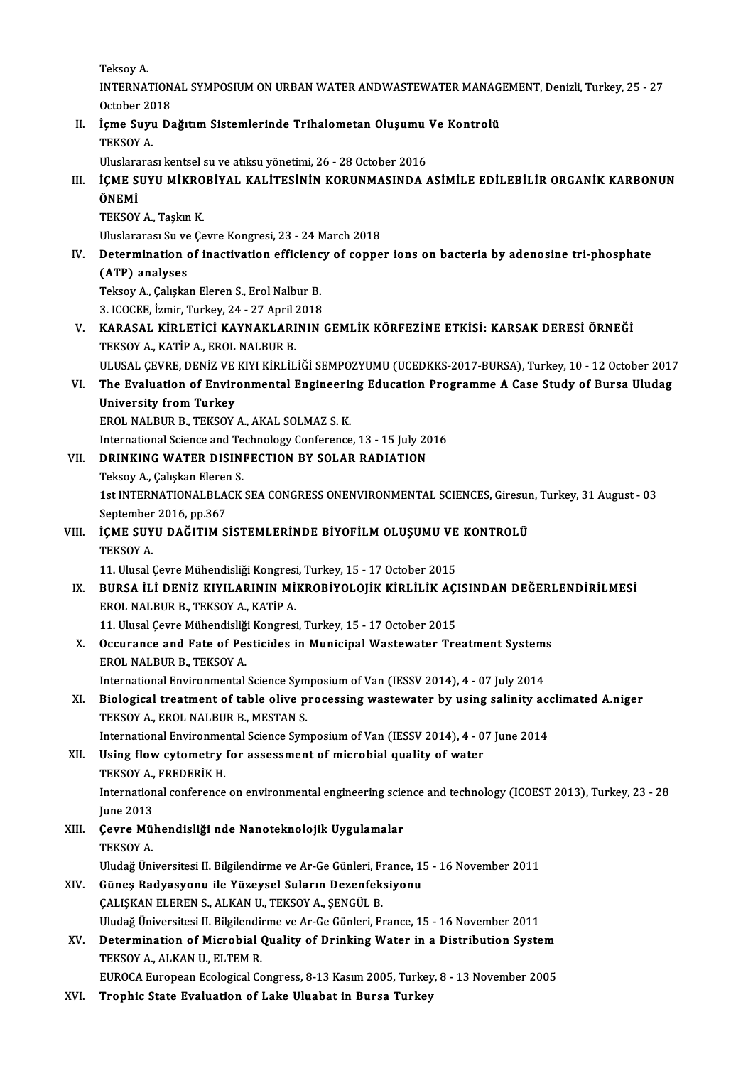TeksoyA.

Teksoy A.<br>INTERNATIONAL SYMPOSIUM ON URBAN WATER ANDWASTEWATER MANAGEMENT, Denizli, Turkey, 25 - 27<br>Ostabar 2018 Teksoy A.<br>INTERNATION<br>October 2018<br>Iame Suuu De INTERNATIONAL SYMPOSIUM ON URBAN WATER ANDWASTEWATER MANAG<br>October 2018<br>II. Içme Suyu Dağıtım Sistemlerinde Trihalometan Oluşumu Ve Kontrolü<br>TEKSOY A

October 20<br>**İçme Suy**ı<br>TEKSOY A. İçme Suyu Dağıtım Sistemlerinde Trihalometan Oluşumu<br>TEKSOY A.<br>Uluslararası kentsel su ve atıksu yönetimi, 26 - 28 October 2016<br>İCME SUVU MİKRORİYAL KALİTESİNİN KORUNMASINDA

## TEKSOY A.<br>Uluslararası kentsel su ve atıksu yönetimi, 26 - 28 October 2016<br>III. İÇME SUYU MİKROBİYAL KALİTESİNİN KORUNMASINDA ASİMİLE EDİLEBİLİR ORGANİK KARBONUN<br>ÖNEMİ Uluslara<br>İÇME S<br>ÖNEMİ<br>TEKSOV İÇME SUYU MİKRO<br>ÖNEMİ<br>TEKSOY A., Taşkın K.<br>Uluslararası Su ve Co

**ÖNEMİ**<br>TEKSOY A., Taşkın K.<br>Uluslararası Su ve Çevre Kongresi, 23 - 24 March 2018

## TEKSOY A., Taşkın K.<br>Uluslararası Su ve Çevre Kongresi, 23 - 24 March 2018<br>IV. Determination of inactivation efficiency of copper ions on bacteria by adenosine tri-phosphate<br>(ATP) analyses Uluslararası Su ve<br>Determination<br>(ATP) analyses<br><sup>Telreov A</sup> Calislia Determination of inactivation efficienc<br>(ATP) analyses<br>Teksoy A., Çalışkan Eleren S., Erol Nalbur B.<br>2. ICOCEE İzmin Turkey 24, 27 April 2019

(ATP) analyses<br>Teksoy A., Çalışkan Eleren S., Erol Nalbur B.<br>3. ICOCEE, İzmir, Turkey, 24 - 27 April 2018<br>KARASAL, KİRLETİCİ KAYNAKLARININ

- Teksoy A., Çalışkan Eleren S., Erol Nalbur B.<br>3. ICOCEE, İzmir, Turkey, 24 27 April 2018<br>V. KARASAL KİRLETİCİ KAYNAKLARININ GEMLİK KÖRFEZİNE ETKİSİ: KARSAK DERESİ ÖRNEĞİ<br>TEKSOY A., KATİP A., EROL NALBUR B. 3. ICOCEE, İzmir, Turkey, 24 - 27 April 7<br>**KARASAL KİRLETİCİ KAYNAKLARI**<br>TEKSOY A., KATİP A., EROL NALBUR B.<br>III USAL CEVPE DENİZ VE KIYI KİDLİL
	- ULUSAL ÇEVRE,DENİZVEKIYIKİRLİLİĞİ SEMPOZYUMU(UCEDKKS-2017-BURSA),Turkey,10 -12October 2017
- TEKSOY A., KATİP A., EROL NALBUR B.<br>ULUSAL ÇEVRE, DENİZ VE KIYI KİRLİLİĞİ SEMPOZYUMU (UCEDKKS-2017-BURSA), Turkey, 10 12 October 2017<br>VI. The Evaluation of Environmental Engineering Education Programme A Case Study o ULUSAL ÇEVRE, DENİZ VE<br>The Evaluation of Envire<br>University from Turkey<br>EPOL NALBUR B. TEVSOV The Evaluation of Environmental Engineeri<br>University from Turkey<br>EROL NALBUR B., TEKSOY A., AKAL SOLMAZ S.K.<br>International Science and Technology Conference University from Turkey<br>EROL NALBUR B., TEKSOY A., AKAL SOLMAZ S. K.<br>International Science and Technology Conference, 13 - 15 July 2016

## EROL NALBUR B., TEKSOY A., AKAL SOLMAZ S. K.<br>International Science and Technology Conference, 13 - 15 July 20<br>VII. DRINKING WATER DISINFECTION BY SOLAR RADIATION<br>Teksov A. Cakskan Flaren S. International Science and Te<br>DRINKING WATER DISIN<br>Teksoy A., Çalışkan Eleren S.<br>1st INTERNATIONALELACK

DRINKING WATER DISINFECTION BY SOLAR RADIATION<br>Teksoy A., Çalışkan Eleren S.<br>1st INTERNATIONALBLACK SEA CONGRESS ONENVIRONMENTAL SCIENCES, Giresun, Turkey, 31 August - 03<br>Sentember 2016, np.267 Teksoy A., Çalışkan Elerer<br>1st INTERNATIONALBLA<br>September 2016, pp.367<br>İCME SIIVII DAĞITIM S 1st INTERNATIONALBLACK SEA CONGRESS ONENVIRONMENTAL SCIENCES, Giresur<br>September 2016, pp.367<br>VIII. **İÇME SUYU DAĞITIM SİSTEMLERİNDE BİYOFİLM OLUŞUMU VE KONTROLÜ**<br>TEKSOV A

## September<br>**İÇME SUY**<br>TEKSOY A. İÇME SUYU DAĞITIM SİSTEMLERİNDE BİYOFİLM OLUŞUMU VE<br>TEKSOY A.<br>11. Ulusal Çevre Mühendisliği Kongresi, Turkey, 15 - 17 October 2015<br>PURSA İLİ DENİZ KIYU ARININ MİKRORİYOLOJİK KİRLİLİK ACI

## TEKSOY A.<br>11. Ulusal Çevre Mühendisliği Kongresi, Turkey, 15 - 17 October 2015<br>IX. BURSA İLİ DENİZ KIYILARININ MİKROBİYOLOJİK KİRLİLİK AÇISINDAN DEĞERLENDİRİLMESİ<br>FROL NALBUR B. TEKSOV A. KATİR A 11. Ulusal Çevre Mühendisliği Kongresi<br>BURSA İLİ DENİZ KIYILARININ Mİ<br>EROL NALBUR B., TEKSOY A., KATİP A.<br>11. Ulusal Çavre Mühendisliği Kongresi BURSA İLİ DENİZ KIYILARININ MİKROBİYOLOJİK KİRLİLİK AÇI<br>EROL NALBUR B., TEKSOY A., KATİP A.<br>11. Ulusal Çevre Mühendisliği Kongresi, Turkey, 15 - 17 October 2015<br>Qesunanse and Esta of Bestisides in Munisinal Westswater Tra EROL NALBUR B., TEKSOY A., KATİP A.<br>11. Ulusal Çevre Mühendisliği Kongresi, Turkey, 15 - 17 October 2015<br>X. Occurance and Fate of Pesticides in Municipal Wastewater Treatment Systems<br>FROL NALBUR R. TEKSOY A.

11. Ulusal Çevre Mühendisliğ.<br>Occurance and Fate of Pe.<br>EROL NALBUR B., TEKSOY A. Occurance and Fate of Pesticides in Municipal Wastewater Treatment System:<br>EROL NALBUR B., TEKSOY A.<br>International Environmental Science Symposium of Van (IESSV 2014), 4 - 07 July 2014<br>Biological treatment of table alive p

## EROL NALBUR B., TEKSOY A.<br>International Environmental Science Symposium of Van (IESSV 2014), 4 - 07 July 2014<br>XI. Biological treatment of table olive processing wastewater by using salinity acclimated A.niger<br>TEKSOY A. ERO International Environmental Science Sym<br>Biological treatment of table olive p<br>TEKSOY A., EROL NALBUR B., MESTAN S.<br>International Environmental Science Sym Biological treatment of table olive processing wastewater by using salinity accepts<br>TEKSOY A., EROL NALBUR B., MESTAN S.<br>International Environmental Science Symposium of Van (IESSV 2014), 4 - 07 June 2014<br>Heing flow syteme

## TEKSOY A., EROL NALBUR B., MESTAN S.<br>International Environmental Science Symposium of Van (IESSV 2014), 4 - 0<br>XII. Using flow cytometry for assessment of microbial quality of water<br>TEVSOY A. EREDERIV H International Environmen<br>Using flow cytometry<br>TEKSOY A., FREDERİK H.<br>International conference Using flow cytometry for assessment of microbial quality of water<br>TEKSOY A., FREDERİK H.<br>International conference on environmental engineering science and technology (ICOEST 2013), Turkey, 23 - 28<br>Iune 2013 TEKSOY A.,<br>Internation<br>June 2013<br>Coure Mül

International conference on environmental engineering scie<br>June 2013<br>XIII. Cevre Mühendisliği nde Nanoteknolojik Uygulamalar<br>TEVSOV A June 2013<br>**Çevre Mü**<br>TEKSOY A.<br>Uludağ Üni Çevre Mühendisliği nde Nanoteknolojik Uygulamalar<br>TEKSOY A.<br>Uludağ Üniversitesi II. Bilgilendirme ve Ar-Ge Günleri, France, 15 - 16 November 2011<br>Cünes Bedyssyonu ile Vüzeysel Sulerur Dezerfeksiyenu

- TEKSOY A.<br>Uludağ Üniversitesi II. Bilgilendirme ve Ar-Ge Günleri, France, 1<br>XIV. Güneş Radyasyonu ile Yüzeysel Suların Dezenfeksiyonu<br>ÇALIŞKAN ELEREN S., ALKAN U., TEKSOY A., ŞENGÜL B. Uludağ Üniversitesi II. Bilgilendirme ve Ar-Ge Günleri, Fı<br>Güneş Radyasyonu ile Yüzeysel Suların Dezenfek:<br>ÇALIŞKAN ELEREN S., ALKAN U., TEKSOY A., ŞENGÜL B.<br>Uludağ Üniversitesi II. Bilgilandirme ve Ar Ge Günleri, Eı Uludağ Üniversitesi II. Bilgilendirme ve Ar-Ge Günleri, France, 15 - 16 November 2011 CALISKAN ELEREN S., ALKAN U., TEKSOY A., ŞENGÜL B.<br>Uludağ Üniversitesi II. Bilgilendirme ve Ar-Ge Günleri, France, 15 - 16 November 2011<br>XV. Determination of Microbial Quality of Drinking Water in a Distribution System
- Uludağ Üniversitesi II. Bilgilendi<br>Determination of Microbial (<br>TEKSOY A., ALKAN U., ELTEM R.<br>FUROCA European Esalagisal Ce TEKSOY A., ALKAN U., ELTEM R.<br>EUROCA European Ecological Congress, 8-13 Kasım 2005, Turkey, 8 - 13 November 2005

XVI. Trophic State Evaluation of Lake Uluabat in Bursa Turkey